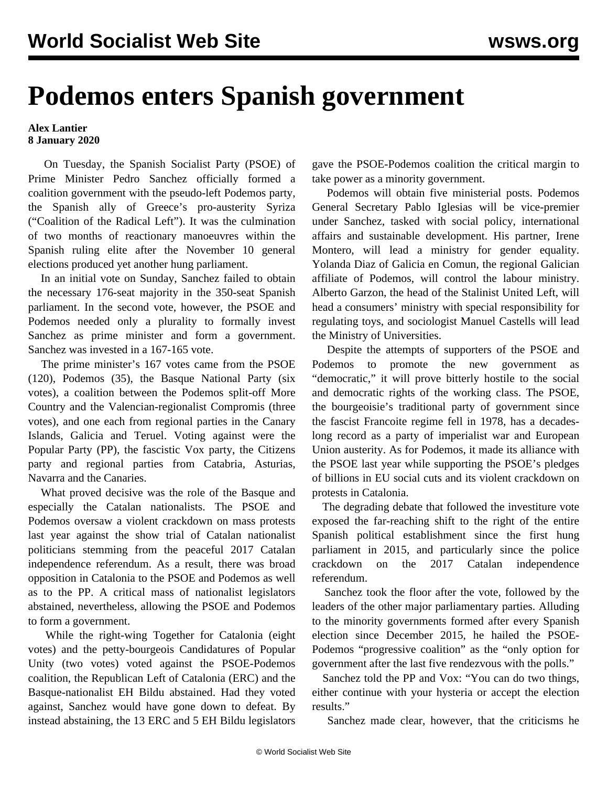## **Podemos enters Spanish government**

## **Alex Lantier 8 January 2020**

 On Tuesday, the Spanish Socialist Party (PSOE) of Prime Minister Pedro Sanchez officially formed a coalition government with the pseudo-left Podemos party, the Spanish ally of Greece's pro-austerity Syriza ("Coalition of the Radical Left"). It was the culmination of two months of reactionary manoeuvres within the Spanish ruling elite after the November 10 general elections produced yet another hung parliament.

 In an initial vote on Sunday, Sanchez failed to obtain the necessary 176-seat majority in the 350-seat Spanish parliament. In the second vote, however, the PSOE and Podemos needed only a plurality to formally invest Sanchez as prime minister and form a government. Sanchez was invested in a 167-165 vote.

 The prime minister's 167 votes came from the PSOE (120), Podemos (35), the Basque National Party (six votes), a coalition between the Podemos split-off More Country and the Valencian-regionalist Compromis (three votes), and one each from regional parties in the Canary Islands, Galicia and Teruel. Voting against were the Popular Party (PP), the fascistic Vox party, the Citizens party and regional parties from Catabria, Asturias, Navarra and the Canaries.

 What proved decisive was the role of the Basque and especially the Catalan nationalists. The PSOE and Podemos oversaw a violent crackdown on mass protests last year against the show trial of Catalan nationalist politicians stemming from the peaceful 2017 Catalan independence referendum. As a result, there was broad opposition in Catalonia to the PSOE and Podemos as well as to the PP. A critical mass of nationalist legislators abstained, nevertheless, allowing the PSOE and Podemos to form a government.

 While the right-wing Together for Catalonia (eight votes) and the petty-bourgeois Candidatures of Popular Unity (two votes) voted against the PSOE-Podemos coalition, the Republican Left of Catalonia (ERC) and the Basque-nationalist EH Bildu abstained. Had they voted against, Sanchez would have gone down to defeat. By instead abstaining, the 13 ERC and 5 EH Bildu legislators

gave the PSOE-Podemos coalition the critical margin to take power as a minority government.

 Podemos will obtain five ministerial posts. Podemos General Secretary Pablo Iglesias will be vice-premier under Sanchez, tasked with social policy, international affairs and sustainable development. His partner, Irene Montero, will lead a ministry for gender equality. Yolanda Diaz of Galicia en Comun, the regional Galician affiliate of Podemos, will control the labour ministry. Alberto Garzon, the head of the Stalinist United Left, will head a consumers' ministry with special responsibility for regulating toys, and sociologist Manuel Castells will lead the Ministry of Universities.

 Despite the attempts of supporters of the PSOE and Podemos to promote the new government "democratic," it will prove bitterly hostile to the social and democratic rights of the working class. The PSOE, the bourgeoisie's traditional party of government since the fascist Francoite regime fell in 1978, has a decadeslong record as a party of imperialist war and European Union austerity. As for Podemos, it made its alliance with the PSOE last year while supporting the PSOE's pledges of billions in EU social cuts and its violent crackdown on protests in Catalonia.

 The degrading debate that followed the investiture vote exposed the far-reaching shift to the right of the entire Spanish political establishment since the first hung parliament in 2015, and particularly since the police crackdown on the 2017 Catalan independence referendum.

 Sanchez took the floor after the vote, followed by the leaders of the other major parliamentary parties. Alluding to the minority governments formed after every Spanish election since December 2015, he hailed the PSOE-Podemos "progressive coalition" as the "only option for government after the last five rendezvous with the polls."

 Sanchez told the PP and Vox: "You can do two things, either continue with your hysteria or accept the election results<sup>"</sup>

Sanchez made clear, however, that the criticisms he